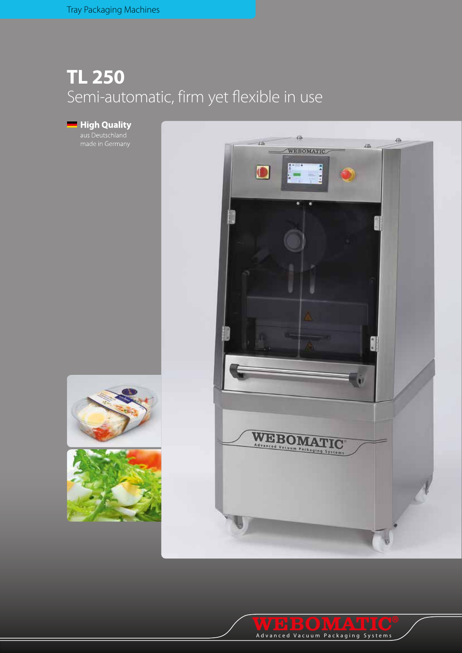## **TL 250** Semi-automatic, firm yet flexible in use

**High Quality**<br>aus Deutschland<br>made in Germany





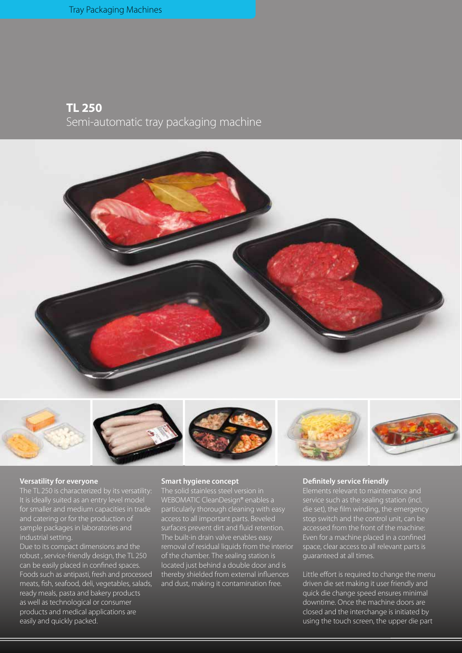## **TL 250** Semi-automatic tray packaging machine













### **Versatility for everyone**

The TL 250 is characterized by its versatility: It is ideally suited as an entry level model for smaller and medium capacities in trade and catering or for the production of sample packages in laboratories and industrial setting.

Due to its compact dimensions and the robust , service-friendly design, the TL250 can be easily placed in confined spaces. Foods such as antipasti, fresh and processed meats, fish, seafood, deli, vegetables, salads, ready meals, pasta and bakery products as well as technological or consumer products and medical applications are easily and quickly packed.

### **Smart hygiene concept**

The solid stainless steel version in WEBOMATIC CleanDesign® enables a particularly thorough cleaning with easy access to all important parts. Beveled surfaces prevent dirt and fluid retention. The built-in drain valve enables easy removal of residual liquids from the interior of the chamber. The sealing station is located just behind a double door and is thereby shielded from external influences and dust, making it contamination free.

#### **Definitely service friendly**

service such as the sealing station (incl. die set), the film winding, the emergency stop switch and the control unit, can be accessed from the front of the machine: Even for a machine placed in a confined space, clear access to all relevant parts is guaranteed at all times.

Little effort is required to change the menu driven die set making it user friendly and quick die change speed ensures minimal downtime. Once the machine doors are closed and the interchange is initiated by using the touch screen, the upper die part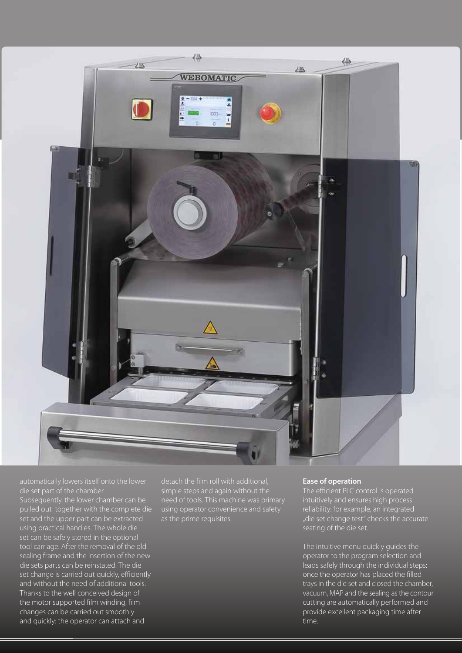

automatically lowers itself onto the lower die set part of the chamber.

Subsequently, the lower chamber can be pulled out together with the complete die set and the upper part can be extracted using practical handles. The whole die set can be safely stored in the optional tool carriage. After the removal of the old sealing frame and the insertion of the new die sets parts can be reinstated. The die set change is carried out quickly, efficiently and without the need of additional tools. Thanks to the well conceived design of the motor supported film winding, film changes can be carried out smoothly and quickly: the operator can attach and

detach the film roll with additional, simple steps and again without the need of tools. This machine was primary using operator convenience and safety as the prime requisites.

### **Ease of operation**

The efficient PLC control is operated intuitively and ensures high process reliability: for example, an integrated "die set change test" checks the accurate seating of the die set.

The intuitive menu quickly guides the operator to the program selection and leads safely through the individual steps: once the operator has placed the filled trays in the die set and closed the chamber, vacuum, MAP and the sealing as the contour cutting are automatically performed and provide excellent packaging time after time.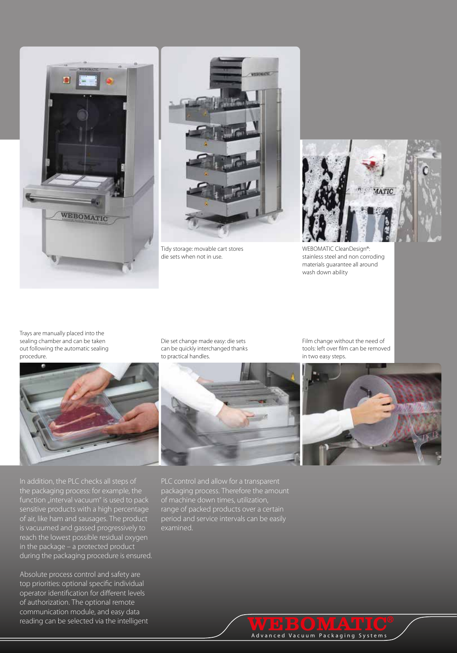



Tidy storage: movable cart stores die sets when not in use.



WEBOMATIC CleanDesign®: stainless steel and non corroding materials guarantee all around wash down ability

Trays are manually placed into the sealing chamber and can be taken out following the automatic sealing procedure.



In addition, the PLC checks all steps of the packaging process: for example, the function "interval vacuum" is used to pack sensitive products with a high percentage of air, like ham and sausages. The product is vacuumed and gassed progressively to reach the lowest possible residual oxygen in the package – a protected product during the packaging procedure is ensured.

Absolute process control and safety are top priorities: optional specific individual operator identification for different levels of authorization. The optional remote communication module, and easy data reading can be selected via the intelligent Die set change made easy: die sets can be quickly interchanged thanks to practical handles.





PLC control and allow for a transparent packaging process. Therefore the amount of machine down times, utilization, range of packed products over a certain period and service intervals can be easily examined.

# **WE BOMATIC**<sup>®</sup><br>Advanced Vacuum Packaging Systems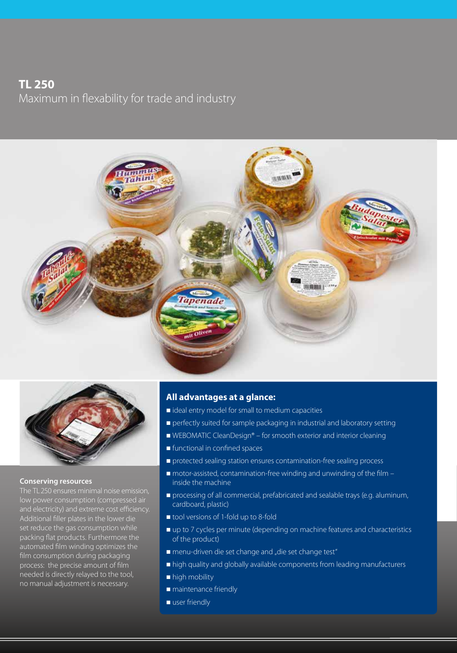## **TL 250**

Maximum in flexability for trade and industry





### **Conserving resources**

The TL250 ensures minimal noise emission, low power consumption (compressed air and electricity) and extreme cost efficiency. Additional filler plates in the lower die set reduce the gas consumption while packing flat products. Furthermore the automated film winding optimizes the film consumption during packaging process: the precise amount of film needed is directly relayed to the tool, no manual adjustment is necessary.

### **All advantages at a glance:**

- $\blacksquare$  ideal entry model for small to medium capacities
- **perfectly suited for sample packaging in industrial and laboratory setting**
- WEBOMATIC CleanDesign® for smooth exterior and interior cleaning
- **functional in confined spaces**
- **protected sealing station ensures contamination-free sealing process**
- $\blacksquare$  motor-assisted, contamination-free winding and unwinding of the film  $$ inside the machine
- **processing of all commercial, prefabricated and sealable trays (e.g. aluminum,** cardboard, plastic)
- tool versions of 1-fold up to 8-fold
- up to 7 cycles per minute (depending on machine features and characteristics of the product)
- menu-driven die set change and "die set change test"
- high quality and globally available components from leading manufacturers
- high mobility
- **n** maintenance friendly
- user friendly